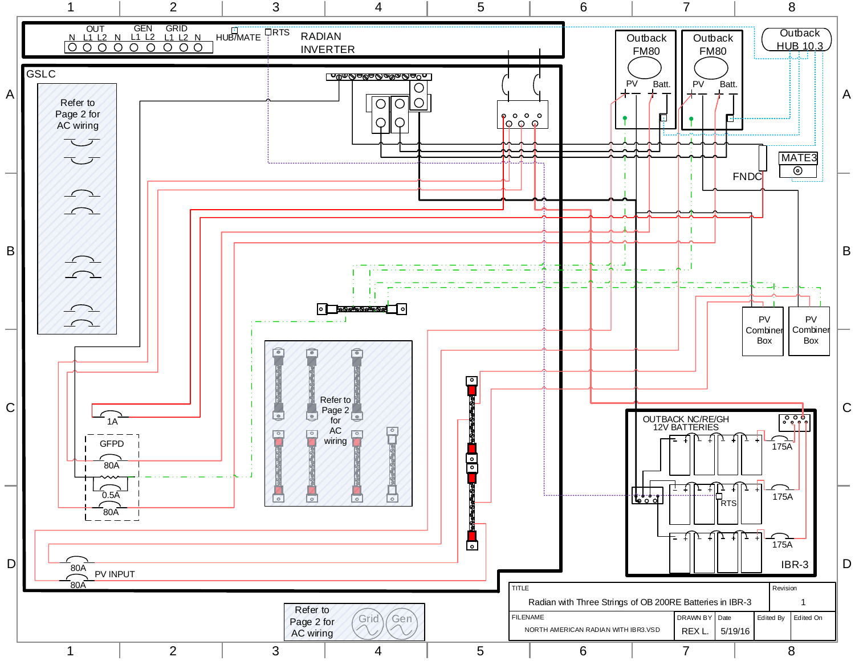